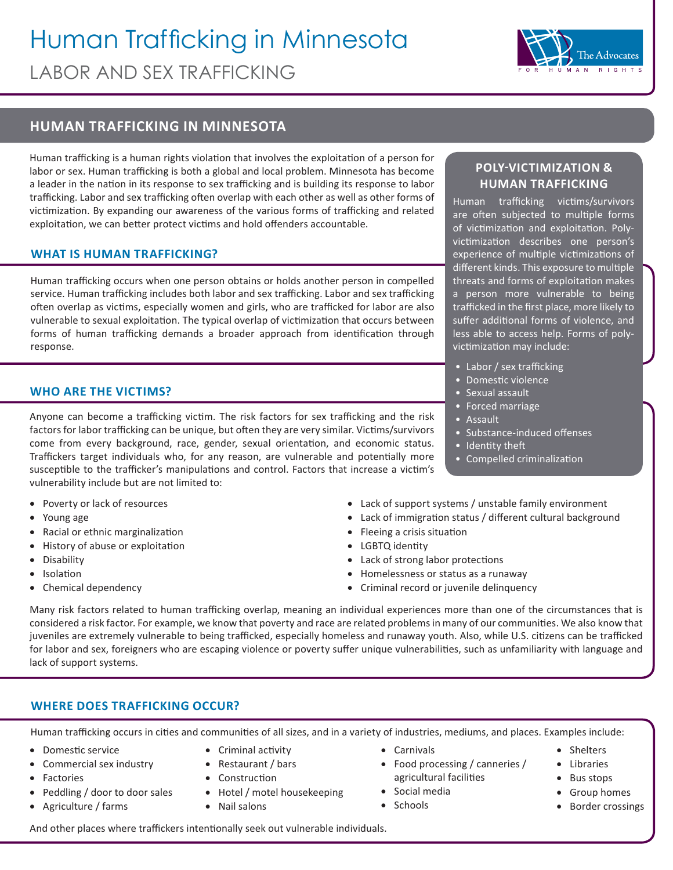# Human Trafficking in Minnesota LABOR AND SEX TRAFFICKING



## **HUMAN TRAFFICKING IN MINNESOTA**

Human trafficking is a human rights violation that involves the exploitation of a person for labor or sex. Human trafficking is both a global and local problem. Minnesota has become a leader in the nation in its response to sex trafficking and is building its response to labor trafficking. Labor and sex trafficking often overlap with each other as well as other forms of victimization. By expanding our awareness of the various forms of trafficking and related exploitation, we can better protect victims and hold offenders accountable.

### **WHAT IS HUMAN TRAFFICKING?**

Human trafficking occurs when one person obtains or holds another person in compelled service. Human trafficking includes both labor and sex trafficking. Labor and sex trafficking often overlap as victims, especially women and girls, who are trafficked for labor are also vulnerable to sexual exploitation. The typical overlap of victimization that occurs between forms of human trafficking demands a broader approach from identification through response.

### **WHO ARE THE VICTIMS?**

Anyone can become a trafficking victim. The risk factors for sex trafficking and the risk factors for labor trafficking can be unique, but often they are very similar. Victims/survivors come from every background, race, gender, sexual orientation, and economic status. Traffickers target individuals who, for any reason, are vulnerable and potentially more susceptible to the trafficker's manipulations and control. Factors that increase a victim's vulnerability include but are not limited to:

- • Poverty or lack of resources
- • Young age
- • Racial or ethnic marginalization
- History of abuse or exploitation
- • Disability
- **Isolation**
- Chemical dependency

### **POLY-VICTIMIZATION & HUMAN TRAFFICKING**

Human trafficking victims/survivors are often subjected to multiple forms of victimization and exploitation. Polyvictimization describes one person's experience of multiple victimizations of different kinds. This exposure to multiple threats and forms of exploitation makes a person more vulnerable to being trafficked in the first place, more likely to suffer additional forms of violence, and less able to access help. Forms of polyvictimization may include:

- Labor / sex trafficking
- Domestic violence
- Sexual assault
- Forced marriage
- Assault
- Substance-induced offenses
- Identity theft
- Compelled criminalization
- Lack of support systems / unstable family environment
- Lack of immigration status / different cultural background
- • Fleeing a crisis situation
- • LGBTQ identity
- • Lack of strong labor protections
- • Homelessness or status as a runaway
- • Criminal record or juvenile delinquency

Many risk factors related to human trafficking overlap, meaning an individual experiences more than one of the circumstances that is considered a risk factor. For example, we know that poverty and race are related problems in many of our communities. We also know that juveniles are extremely vulnerable to being trafficked, especially homeless and runaway youth. Also, while U.S. citizens can be trafficked for labor and sex, foreigners who are escaping violence or poverty suffer unique vulnerabilities, such as unfamiliarity with language and lack of support systems.

### **WHERE DOES TRAFFICKING OCCUR?**

Human trafficking occurs in cities and communities of all sizes, and in a variety of industries, mediums, and places. Examples include:

- • Domestic service
- Commercial sex industry
- • Factories
- Peddling / door to door sales
- • Agriculture / farms
- • Criminal activity
- • Restaurant / bars
- • Construction
- Hotel / motel housekeeping
- • Nail salons
- • Carnivals
- • Food processing / canneries / agricultural facilities
- • Social media
- Schools
- • Shelters
- • Libraries
- • Bus stops
- • Group homes • Border crossings

And other places where traffickers intentionally seek out vulnerable individuals.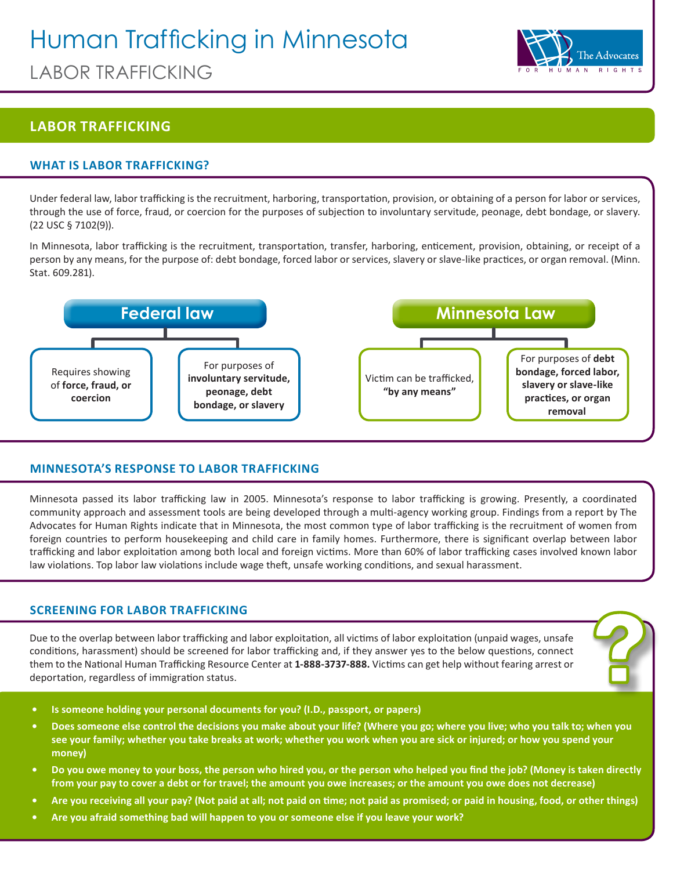# Human Trafficking in Minnesota





## **LABOR TRAFFICKING**

### **WHAT IS LABOR TRAFFICKING?**

Under federal law, labor trafficking is the recruitment, harboring, transportation, provision, or obtaining of a person for labor or services, through the use of force, fraud, or coercion for the purposes of subjection to involuntary servitude, peonage, debt bondage, or slavery. (22 USC § 7102(9)).

In Minnesota, labor trafficking is the recruitment, transportation, transfer, harboring, enticement, provision, obtaining, or receipt of a person by any means, for the purpose of: debt bondage, forced labor or services, slavery or slave-like practices, or organ removal. (Minn. Stat. 609.281).



### **MINNESOTA'S RESPONSE TO LABOR TRAFFICKING**

Minnesota passed its labor trafficking law in 2005. Minnesota's response to labor trafficking is growing. Presently, a coordinated community approach and assessment tools are being developed through a multi-agency working group. Findings from a report by The Advocates for Human Rights indicate that in Minnesota, the most common type of labor trafficking is the recruitment of women from foreign countries to perform housekeeping and child care in family homes. Furthermore, there is significant overlap between labor trafficking and labor exploitation among both local and foreign victims. More than 60% of labor trafficking cases involved known labor law violations. Top labor law violations include wage theft, unsafe working conditions, and sexual harassment.

### **SCREENING FOR LABOR TRAFFICKING**

Due to the overlap between labor trafficking and labor exploitation, all victims of labor exploitation (unpaid wages, unsafe conditions, harassment) should be screened for labor trafficking and, if they answer yes to the below questions, connect them to the National Human Trafficking Resource Center at **1-888-3737-888.** Victims can get help without fearing arrest or deportation, regardless of immigration status.

- **• Is someone holding your personal documents for you? (I.D., passport, or papers)**
- **• Does someone else control the decisions you make about your life? (Where you go; where you live; who you talk to; when you see your family; whether you take breaks at work; whether you work when you are sick or injured; or how you spend your money)**
- **• Do you owe money to your boss, the person who hired you, or the person who helped you find the job? (Money is taken directly from your pay to cover a debt or for travel; the amount you owe increases; or the amount you owe does not decrease)**
- **• Are you receiving all your pay? (Not paid at all; not paid on time; not paid as promised; or paid in housing, food, or other things)**
- **• Are you afraid something bad will happen to you or someone else if you leave your work?**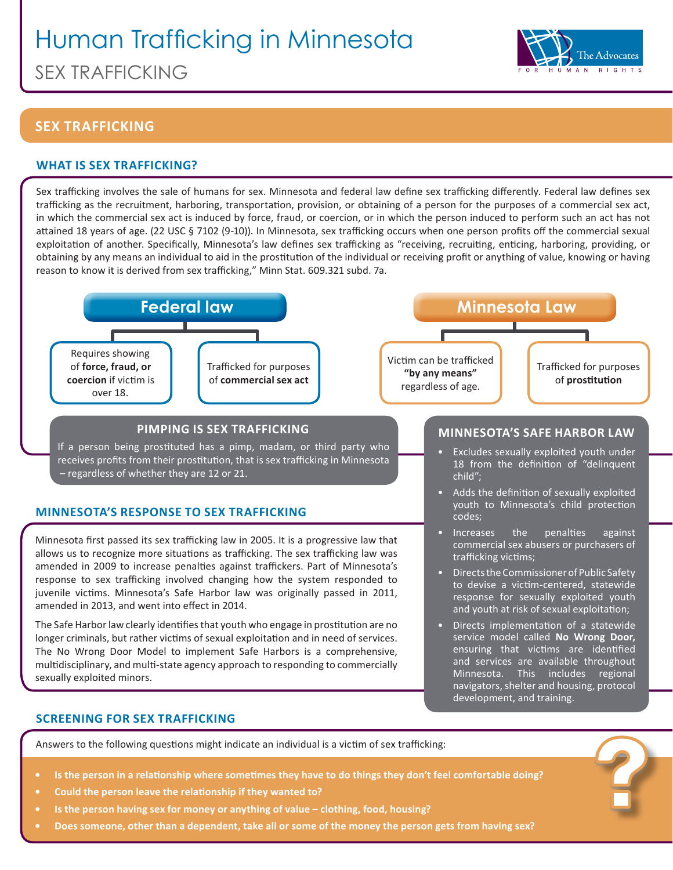# Human Trafficking in Minnesota SEX TRAFFICKING



service model called **No Wrong Door,**  ensuring that victims are identified and services are available throughout Minnesota. This includes regional navigators, shelter and housing, protocol

development, and training.

# **SEX TRAFFICKING**

### **WHAT IS SEX TRAFFICKING?**

Sex trafficking involves the sale of humans for sex. Minnesota and federal law define sex trafficking differently. Federal law defines sex trafficking as the recruitment, harboring, transportation, provision, or obtaining of a person for the purposes of a commercial sex act, in which the commercial sex act is induced by force, fraud, or coercion, or in which the person induced to perform such an act has not attained 18 years of age. (22 USC § 7102 (9-10)). In Minnesota, sex trafficking occurs when one person profits off the commercial sexual exploitation of another. Specifically, Minnesota's law defines sex trafficking as "receiving, recruiting, enticing, harboring, providing, or obtaining by any means an individual to aid in the prostitution of the individual or receiving profit or anything of value, knowing or having reason to know it is derived from sex trafficking," Minn Stat. 609.321 subd. 7a.



longer criminals, but rather victims of sexual exploitation and in need of services. The No Wrong Door Model to implement Safe Harbors is a comprehensive, multidisciplinary, and multi-state agency approach to responding to commercially sexually exploited minors.

### **SCREENING FOR SEX TRAFFICKING**

Answers to the following questions might indicate an individual is a victim of sex trafficking:

- **• Is the person in a relationship where sometimes they have to do things they don't feel comfortable doing?**
- **• Could the person leave the relationship if they wanted to?**
- **• Is the person having sex for money or anything of value clothing, food, housing?**
- **• Does someone, other than a dependent, take all or some of the money the person gets from having sex?**